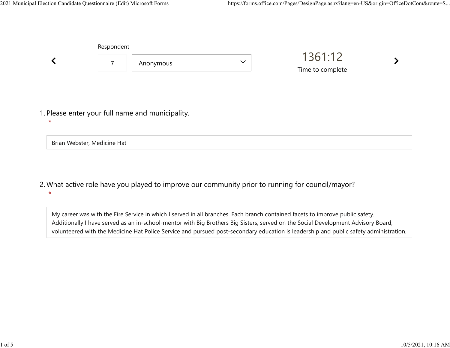|                                                             | Respondent                  |           |              |                             |  |  |
|-------------------------------------------------------------|-----------------------------|-----------|--------------|-----------------------------|--|--|
|                                                             | $\overline{7}$              | Anonymous | $\checkmark$ | 1361:12<br>Time to complete |  |  |
| 1. Please enter your full name and municipality.<br>$\star$ |                             |           |              |                             |  |  |
|                                                             | Brian Webster, Medicine Hat |           |              |                             |  |  |

What active role have you played to improve our community prior to running for council/mayor? 2.  $\star$ 

My career was with the Fire Service in which I served in all branches. Each branch contained facets to improve public safety. Additionally I have served as an in-school-mentor with Big Brothers Big Sisters, served on the Social Development Advisory Board, volunteered with the Medicine Hat Police Service and pursued post-secondary education is leadership and public safety administration.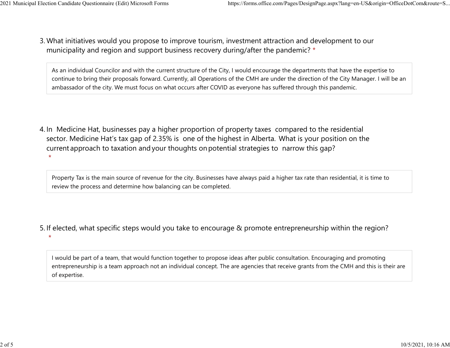$\star$ 

What initiatives would you propose to improve tourism, investment attraction and development to our 3. municipality and region and support business recovery during/after the pandemic? \* 2021 Municipal Election Candidate Questionnaire (Edit) Microsoft Forms https://forms.office.com/Pages/DesignPage.aspx?lang=en-US&origin=OfficeDotCom&route=S...<br>2 Mhat initiatives would you propose to improve tourism invest

> As an individual Councilor and with the current structure of the City, I would encourage the departments that have the expertise to continue to bring their proposals forward. Currently, all Operations of the CMH are under the direction of the City Manager. I will be an ambassador of the city. We must focus on what occurs after COVID as everyone has suffered through this pandemic.

4. In Medicine Hat, businesses pay a higher proportion of property taxes compared to the residential sector.  Medicine Hat's tax gap of 2.35% is one of the highest in Alberta.  What is your position on the current approach to taxation and your thoughts on potential strategies to narrow this gap?  $\star$ 

Property Tax is the main source of revenue for the city. Businesses have always paid a higher tax rate than residential, it is time to review the process and determine how balancing can be completed.

5. If elected, what specific steps would you take to encourage & promote entrepreneurship within the region?

I would be part of a team, that would function together to propose ideas after public consultation. Encouraging and promoting entrepreneurship is a team approach not an individual concept. The are agencies that receive grants from the CMH and this is their are of expertise.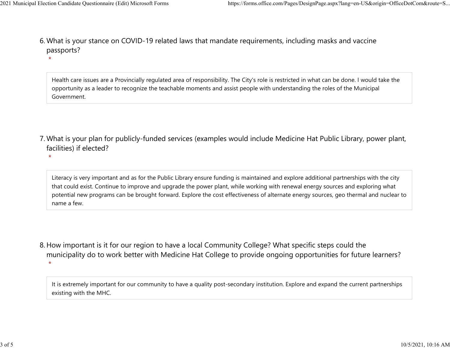$\star$ 

 $\star$ 

What is your stance on COVID-19 related laws that mandate requirements, including masks and vaccine 6. passports? 2021 Municipal Election Candidate Questionnaire (Edit) Microsoft Forms https://forms.office.com/Pages/DesignPage.aspx?lang=en-US&origin=OfficeDotCom&route=S...<br>6 Mhat is vour stance on COVID-19 related laws that mandate re

> Health care issues are a Provincially regulated area of responsibility. The City's role is restricted in what can be done. I would take the opportunity as a leader to recognize the teachable moments and assist people with understanding the roles of the Municipal Government.

- What is your plan for publicly-funded services (examples would include Medicine Hat Public Library, power plant, 7. facilities) if elected?
	- Literacy is very important and as for the Public Library ensure funding is maintained and explore additional partnerships with the city that could exist. Continue to improve and upgrade the power plant, while working with renewal energy sources and exploring what potential new programs can be brought forward. Explore the cost effectiveness of alternate energy sources, geo thermal and nuclear to name a few.
- 8. How important is it for our region to have a local Community College? What specific steps could the municipality do to work better with Medicine Hat College to provide ongoing opportunities for future learners?  $\star$

It is extremely important for our community to have a quality post-secondary institution. Explore and expand the current partnerships existing with the MHC.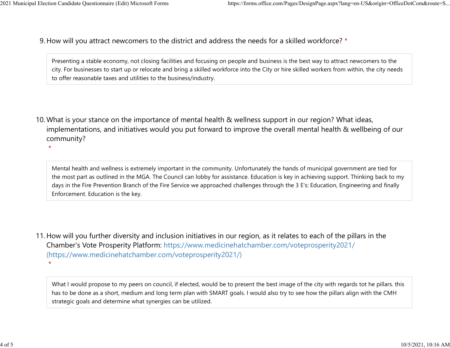9. How will you attract newcomers to the district and address the needs for a skilled workforce? \* 2021 Municipal Election Candidate Questionnaire (Edit) Microsoft Forms https://forms.office.com/Pages/DesignPage.aspx?lang=en-US&origin=OfficeDotCom&route=S...<br>Q How will you attract newcomers to the district and address t

> Presenting a stable economy, not closing facilities and focusing on people and business is the best way to attract newcomers to the city. For businesses to start up or relocate and bring a skilled workforce into the City or hire skilled workers from within, the city needs to offer reasonable taxes and utilities to the business/industry.

10. What is your stance on the importance of mental health & wellness support in our region? What ideas, implementations, and initiatives would you put forward to improve the overall mental health & wellbeing of our community?

 $\star$ 

Mental health and wellness is extremely important in the community. Unfortunately the hands of municipal government are tied for the most part as outlined in the MGA. The Council can lobby for assistance. Education is key in achieving support. Thinking back to my days in the Fire Prevention Branch of the Fire Service we approached challenges through the 3 E's: Education, Engineering and finally Enforcement. Education is the key.

11. How will you further diversity and inclusion initiatives in our region, as it relates to each of the pillars in the Chamber's Vote Prosperity Platform: https://www.medicinehatchamber.com/voteprosperity2021/ (https://www.medicinehatchamber.com/voteprosperity2021/)  $\star$ 

What I would propose to my peers on council, if elected, would be to present the best image of the city with regards tot he pillars. this has to be done as a short, medium and long term plan with SMART goals. I would also try to see how the pillars align with the CMH strategic goals and determine what synergies can be utilized.